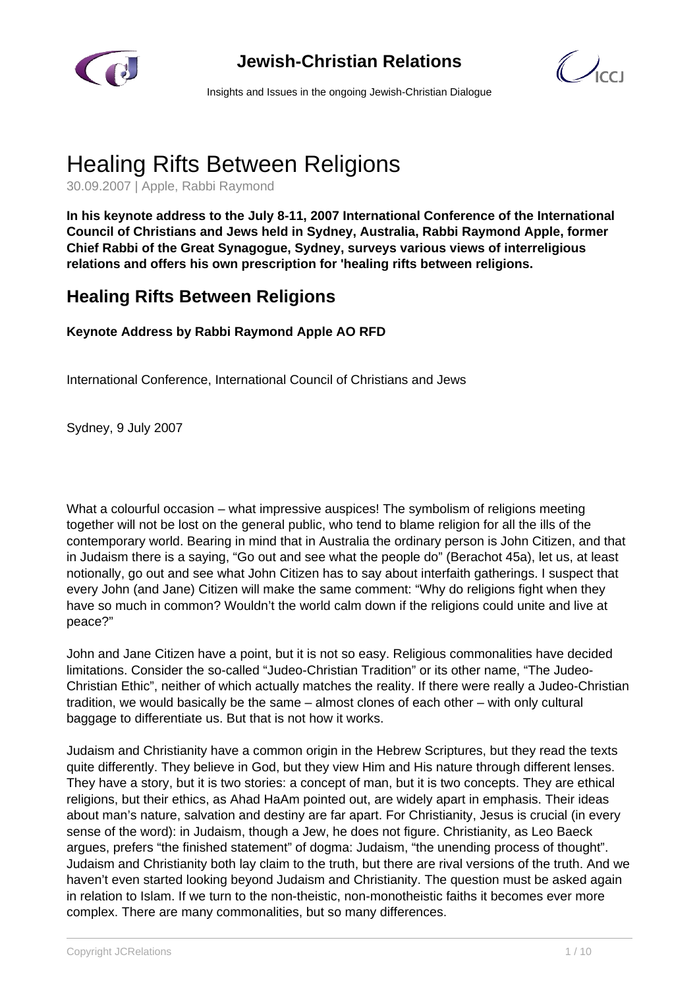

**Jewish-Christian Relations**



Insights and Issues in the ongoing Jewish-Christian Dialogue

## Healing Rifts Between Religions

30.09.2007 | Apple, Rabbi Raymond

**In his keynote address to the July 8-11, 2007 International Conference of the International Council of Christians and Jews held in Sydney, Australia, Rabbi Raymond Apple, former Chief Rabbi of the Great Synagogue, Sydney, surveys various views of interreligious relations and offers his own prescription for 'healing rifts between religions.**

## **Healing Rifts Between Religions**

## **Keynote Address by Rabbi Raymond Apple AO RFD**

International Conference, International Council of Christians and Jews

Sydney, 9 July 2007

What a colourful occasion – what impressive auspices! The symbolism of religions meeting together will not be lost on the general public, who tend to blame religion for all the ills of the contemporary world. Bearing in mind that in Australia the ordinary person is John Citizen, and that in Judaism there is a saying, "Go out and see what the people do" (Berachot 45a), let us, at least notionally, go out and see what John Citizen has to say about interfaith gatherings. I suspect that every John (and Jane) Citizen will make the same comment: "Why do religions fight when they have so much in common? Wouldn't the world calm down if the religions could unite and live at peace?"

John and Jane Citizen have a point, but it is not so easy. Religious commonalities have decided limitations. Consider the so-called "Judeo-Christian Tradition" or its other name, "The Judeo-Christian Ethic", neither of which actually matches the reality. If there were really a Judeo-Christian tradition, we would basically be the same – almost clones of each other – with only cultural baggage to differentiate us. But that is not how it works.

Judaism and Christianity have a common origin in the Hebrew Scriptures, but they read the texts quite differently. They believe in God, but they view Him and His nature through different lenses. They have a story, but it is two stories: a concept of man, but it is two concepts. They are ethical religions, but their ethics, as Ahad HaAm pointed out, are widely apart in emphasis. Their ideas about man's nature, salvation and destiny are far apart. For Christianity, Jesus is crucial (in every sense of the word): in Judaism, though a Jew, he does not figure. Christianity, as Leo Baeck argues, prefers "the finished statement" of dogma: Judaism, "the unending process of thought". Judaism and Christianity both lay claim to the truth, but there are rival versions of the truth. And we haven't even started looking beyond Judaism and Christianity. The question must be asked again in relation to Islam. If we turn to the non-theistic, non-monotheistic faiths it becomes ever more complex. There are many commonalities, but so many differences.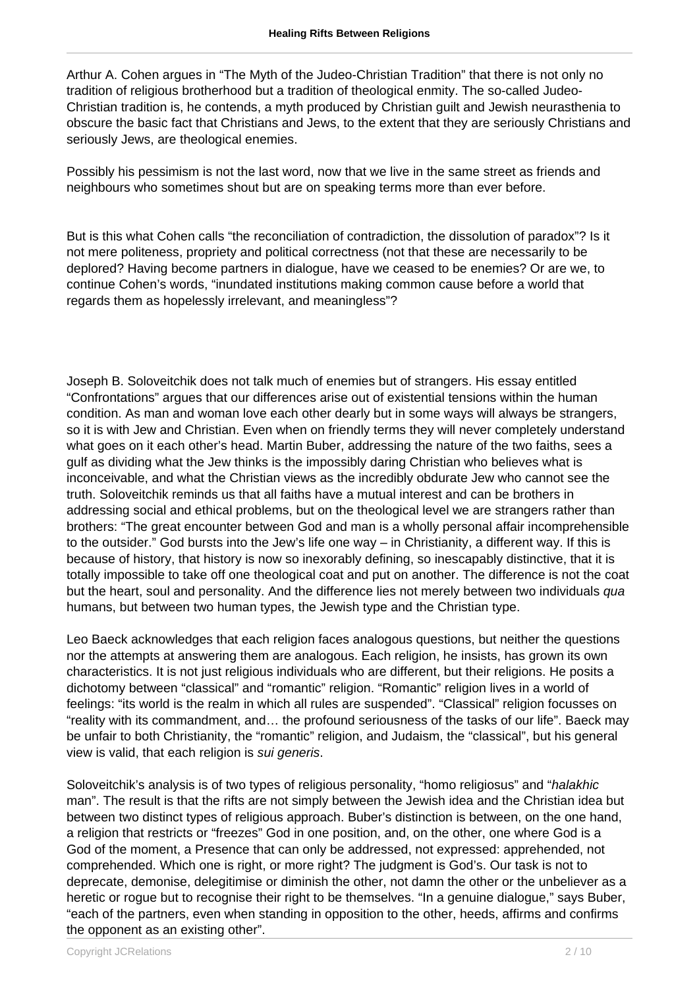Arthur A. Cohen argues in "The Myth of the Judeo-Christian Tradition" that there is not only no tradition of religious brotherhood but a tradition of theological enmity. The so-called Judeo-Christian tradition is, he contends, a myth produced by Christian guilt and Jewish neurasthenia to obscure the basic fact that Christians and Jews, to the extent that they are seriously Christians and seriously Jews, are theological enemies.

Possibly his pessimism is not the last word, now that we live in the same street as friends and neighbours who sometimes shout but are on speaking terms more than ever before.

But is this what Cohen calls "the reconciliation of contradiction, the dissolution of paradox"? Is it not mere politeness, propriety and political correctness (not that these are necessarily to be deplored? Having become partners in dialogue, have we ceased to be enemies? Or are we, to continue Cohen's words, "inundated institutions making common cause before a world that regards them as hopelessly irrelevant, and meaningless"?

Joseph B. Soloveitchik does not talk much of enemies but of strangers. His essay entitled "Confrontations" argues that our differences arise out of existential tensions within the human condition. As man and woman love each other dearly but in some ways will always be strangers, so it is with Jew and Christian. Even when on friendly terms they will never completely understand what goes on it each other's head. Martin Buber, addressing the nature of the two faiths, sees a gulf as dividing what the Jew thinks is the impossibly daring Christian who believes what is inconceivable, and what the Christian views as the incredibly obdurate Jew who cannot see the truth. Soloveitchik reminds us that all faiths have a mutual interest and can be brothers in addressing social and ethical problems, but on the theological level we are strangers rather than brothers: "The great encounter between God and man is a wholly personal affair incomprehensible to the outsider." God bursts into the Jew's life one way – in Christianity, a different way. If this is because of history, that history is now so inexorably defining, so inescapably distinctive, that it is totally impossible to take off one theological coat and put on another. The difference is not the coat but the heart, soul and personality. And the difference lies not merely between two individuals qua humans, but between two human types, the Jewish type and the Christian type.

Leo Baeck acknowledges that each religion faces analogous questions, but neither the questions nor the attempts at answering them are analogous. Each religion, he insists, has grown its own characteristics. It is not just religious individuals who are different, but their religions. He posits a dichotomy between "classical" and "romantic" religion. "Romantic" religion lives in a world of feelings: "its world is the realm in which all rules are suspended". "Classical" religion focusses on "reality with its commandment, and… the profound seriousness of the tasks of our life". Baeck may be unfair to both Christianity, the "romantic" religion, and Judaism, the "classical", but his general view is valid, that each religion is sui generis.

Soloveitchik's analysis is of two types of religious personality, "homo religiosus" and "halakhic man". The result is that the rifts are not simply between the Jewish idea and the Christian idea but between two distinct types of religious approach. Buber's distinction is between, on the one hand, a religion that restricts or "freezes" God in one position, and, on the other, one where God is a God of the moment, a Presence that can only be addressed, not expressed: apprehended, not comprehended. Which one is right, or more right? The judgment is God's. Our task is not to deprecate, demonise, delegitimise or diminish the other, not damn the other or the unbeliever as a heretic or rogue but to recognise their right to be themselves. "In a genuine dialogue," says Buber, "each of the partners, even when standing in opposition to the other, heeds, affirms and confirms the opponent as an existing other".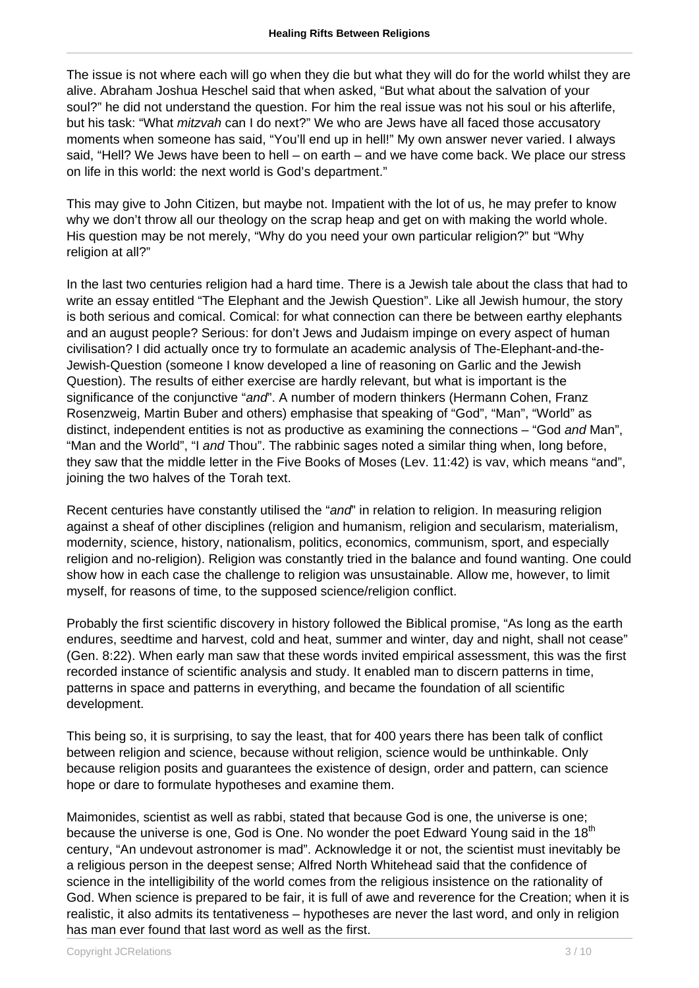The issue is not where each will go when they die but what they will do for the world whilst they are alive. Abraham Joshua Heschel said that when asked, "But what about the salvation of your soul?" he did not understand the question. For him the real issue was not his soul or his afterlife, but his task: "What *mitzvah* can I do next?" We who are Jews have all faced those accusatory moments when someone has said, "You'll end up in hell!" My own answer never varied. I always said, "Hell? We Jews have been to hell – on earth – and we have come back. We place our stress on life in this world: the next world is God's department."

This may give to John Citizen, but maybe not. Impatient with the lot of us, he may prefer to know why we don't throw all our theology on the scrap heap and get on with making the world whole. His question may be not merely, "Why do you need your own particular religion?" but "Why religion at all?"

In the last two centuries religion had a hard time. There is a Jewish tale about the class that had to write an essay entitled "The Elephant and the Jewish Question". Like all Jewish humour, the story is both serious and comical. Comical: for what connection can there be between earthy elephants and an august people? Serious: for don't Jews and Judaism impinge on every aspect of human civilisation? I did actually once try to formulate an academic analysis of The-Elephant-and-the-Jewish-Question (someone I know developed a line of reasoning on Garlic and the Jewish Question). The results of either exercise are hardly relevant, but what is important is the significance of the conjunctive "and". A number of modern thinkers (Hermann Cohen, Franz Rosenzweig, Martin Buber and others) emphasise that speaking of "God", "Man", "World" as distinct, independent entities is not as productive as examining the connections – "God and Man", "Man and the World", "I and Thou". The rabbinic sages noted a similar thing when, long before, they saw that the middle letter in the Five Books of Moses (Lev. 11:42) is vav, which means "and", joining the two halves of the Torah text.

Recent centuries have constantly utilised the "and" in relation to religion. In measuring religion against a sheaf of other disciplines (religion and humanism, religion and secularism, materialism, modernity, science, history, nationalism, politics, economics, communism, sport, and especially religion and no-religion). Religion was constantly tried in the balance and found wanting. One could show how in each case the challenge to religion was unsustainable. Allow me, however, to limit myself, for reasons of time, to the supposed science/religion conflict.

Probably the first scientific discovery in history followed the Biblical promise, "As long as the earth endures, seedtime and harvest, cold and heat, summer and winter, day and night, shall not cease" (Gen. 8:22). When early man saw that these words invited empirical assessment, this was the first recorded instance of scientific analysis and study. It enabled man to discern patterns in time, patterns in space and patterns in everything, and became the foundation of all scientific development.

This being so, it is surprising, to say the least, that for 400 years there has been talk of conflict between religion and science, because without religion, science would be unthinkable. Only because religion posits and guarantees the existence of design, order and pattern, can science hope or dare to formulate hypotheses and examine them.

Maimonides, scientist as well as rabbi, stated that because God is one, the universe is one; because the universe is one, God is One. No wonder the poet Edward Young said in the 18<sup>th</sup> century, "An undevout astronomer is mad". Acknowledge it or not, the scientist must inevitably be a religious person in the deepest sense; Alfred North Whitehead said that the confidence of science in the intelligibility of the world comes from the religious insistence on the rationality of God. When science is prepared to be fair, it is full of awe and reverence for the Creation; when it is realistic, it also admits its tentativeness – hypotheses are never the last word, and only in religion has man ever found that last word as well as the first.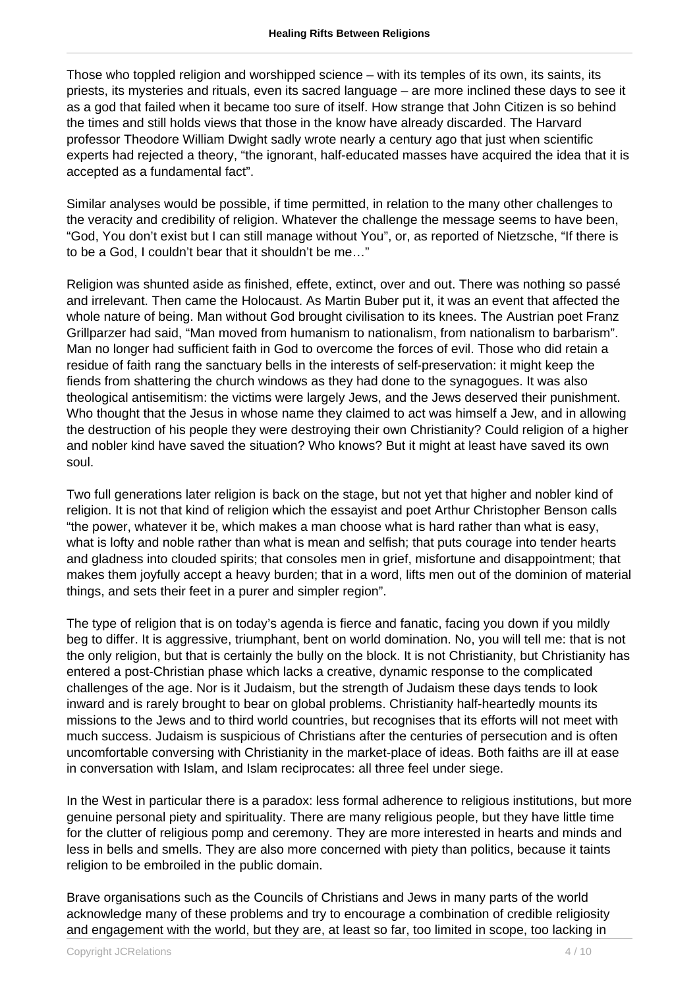Those who toppled religion and worshipped science – with its temples of its own, its saints, its priests, its mysteries and rituals, even its sacred language – are more inclined these days to see it as a god that failed when it became too sure of itself. How strange that John Citizen is so behind the times and still holds views that those in the know have already discarded. The Harvard professor Theodore William Dwight sadly wrote nearly a century ago that just when scientific experts had rejected a theory, "the ignorant, half-educated masses have acquired the idea that it is accepted as a fundamental fact".

Similar analyses would be possible, if time permitted, in relation to the many other challenges to the veracity and credibility of religion. Whatever the challenge the message seems to have been, "God, You don't exist but I can still manage without You", or, as reported of Nietzsche, "If there is to be a God, I couldn't bear that it shouldn't be me…"

Religion was shunted aside as finished, effete, extinct, over and out. There was nothing so passé and irrelevant. Then came the Holocaust. As Martin Buber put it, it was an event that affected the whole nature of being. Man without God brought civilisation to its knees. The Austrian poet Franz Grillparzer had said, "Man moved from humanism to nationalism, from nationalism to barbarism". Man no longer had sufficient faith in God to overcome the forces of evil. Those who did retain a residue of faith rang the sanctuary bells in the interests of self-preservation: it might keep the fiends from shattering the church windows as they had done to the synagogues. It was also theological antisemitism: the victims were largely Jews, and the Jews deserved their punishment. Who thought that the Jesus in whose name they claimed to act was himself a Jew, and in allowing the destruction of his people they were destroying their own Christianity? Could religion of a higher and nobler kind have saved the situation? Who knows? But it might at least have saved its own soul.

Two full generations later religion is back on the stage, but not yet that higher and nobler kind of religion. It is not that kind of religion which the essayist and poet Arthur Christopher Benson calls "the power, whatever it be, which makes a man choose what is hard rather than what is easy, what is lofty and noble rather than what is mean and selfish; that puts courage into tender hearts and gladness into clouded spirits; that consoles men in grief, misfortune and disappointment; that makes them joyfully accept a heavy burden; that in a word, lifts men out of the dominion of material things, and sets their feet in a purer and simpler region".

The type of religion that is on today's agenda is fierce and fanatic, facing you down if you mildly beg to differ. It is aggressive, triumphant, bent on world domination. No, you will tell me: that is not the only religion, but that is certainly the bully on the block. It is not Christianity, but Christianity has entered a post-Christian phase which lacks a creative, dynamic response to the complicated challenges of the age. Nor is it Judaism, but the strength of Judaism these days tends to look inward and is rarely brought to bear on global problems. Christianity half-heartedly mounts its missions to the Jews and to third world countries, but recognises that its efforts will not meet with much success. Judaism is suspicious of Christians after the centuries of persecution and is often uncomfortable conversing with Christianity in the market-place of ideas. Both faiths are ill at ease in conversation with Islam, and Islam reciprocates: all three feel under siege.

In the West in particular there is a paradox: less formal adherence to religious institutions, but more genuine personal piety and spirituality. There are many religious people, but they have little time for the clutter of religious pomp and ceremony. They are more interested in hearts and minds and less in bells and smells. They are also more concerned with piety than politics, because it taints religion to be embroiled in the public domain.

Brave organisations such as the Councils of Christians and Jews in many parts of the world acknowledge many of these problems and try to encourage a combination of credible religiosity and engagement with the world, but they are, at least so far, too limited in scope, too lacking in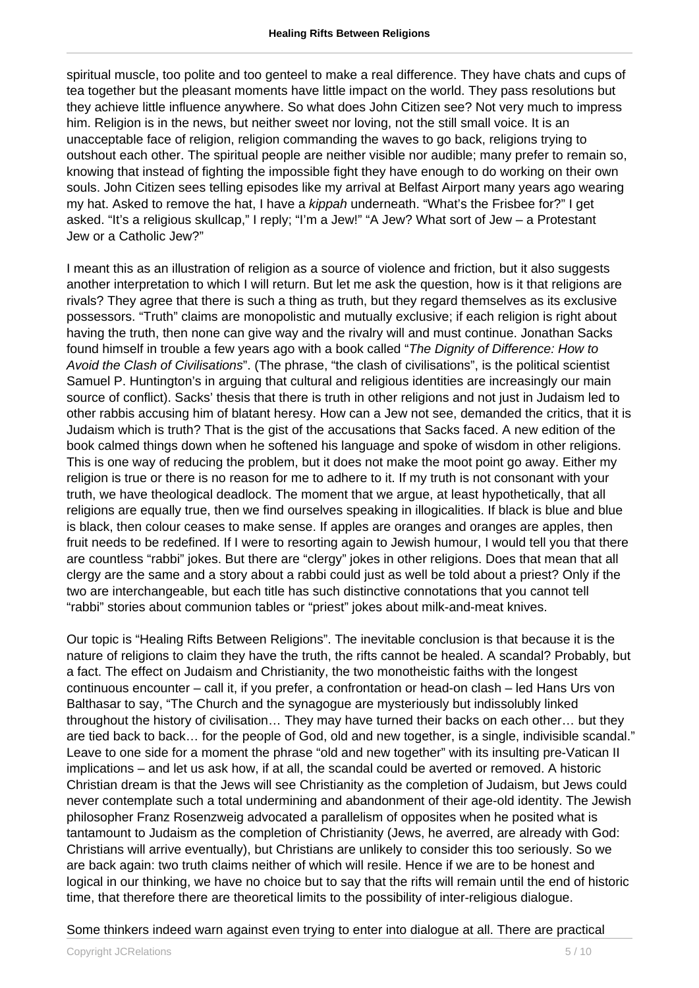spiritual muscle, too polite and too genteel to make a real difference. They have chats and cups of tea together but the pleasant moments have little impact on the world. They pass resolutions but they achieve little influence anywhere. So what does John Citizen see? Not very much to impress him. Religion is in the news, but neither sweet nor loving, not the still small voice. It is an unacceptable face of religion, religion commanding the waves to go back, religions trying to outshout each other. The spiritual people are neither visible nor audible; many prefer to remain so, knowing that instead of fighting the impossible fight they have enough to do working on their own souls. John Citizen sees telling episodes like my arrival at Belfast Airport many years ago wearing my hat. Asked to remove the hat. I have a kippah underneath. "What's the Frisbee for?" I get asked. "It's a religious skullcap," I reply; "I'm a Jew!" "A Jew? What sort of Jew – a Protestant Jew or a Catholic Jew?"

I meant this as an illustration of religion as a source of violence and friction, but it also suggests another interpretation to which I will return. But let me ask the question, how is it that religions are rivals? They agree that there is such a thing as truth, but they regard themselves as its exclusive possessors. "Truth" claims are monopolistic and mutually exclusive; if each religion is right about having the truth, then none can give way and the rivalry will and must continue. Jonathan Sacks found himself in trouble a few years ago with a book called "The Dignity of Difference: How to Avoid the Clash of Civilisations". (The phrase, "the clash of civilisations", is the political scientist Samuel P. Huntington's in arguing that cultural and religious identities are increasingly our main source of conflict). Sacks' thesis that there is truth in other religions and not just in Judaism led to other rabbis accusing him of blatant heresy. How can a Jew not see, demanded the critics, that it is Judaism which is truth? That is the gist of the accusations that Sacks faced. A new edition of the book calmed things down when he softened his language and spoke of wisdom in other religions. This is one way of reducing the problem, but it does not make the moot point go away. Either my religion is true or there is no reason for me to adhere to it. If my truth is not consonant with your truth, we have theological deadlock. The moment that we argue, at least hypothetically, that all religions are equally true, then we find ourselves speaking in illogicalities. If black is blue and blue is black, then colour ceases to make sense. If apples are oranges and oranges are apples, then fruit needs to be redefined. If I were to resorting again to Jewish humour, I would tell you that there are countless "rabbi" jokes. But there are "clergy" jokes in other religions. Does that mean that all clergy are the same and a story about a rabbi could just as well be told about a priest? Only if the two are interchangeable, but each title has such distinctive connotations that you cannot tell "rabbi" stories about communion tables or "priest" jokes about milk-and-meat knives.

Our topic is "Healing Rifts Between Religions". The inevitable conclusion is that because it is the nature of religions to claim they have the truth, the rifts cannot be healed. A scandal? Probably, but a fact. The effect on Judaism and Christianity, the two monotheistic faiths with the longest continuous encounter – call it, if you prefer, a confrontation or head-on clash – led Hans Urs von Balthasar to say, "The Church and the synagogue are mysteriously but indissolubly linked throughout the history of civilisation… They may have turned their backs on each other… but they are tied back to back… for the people of God, old and new together, is a single, indivisible scandal." Leave to one side for a moment the phrase "old and new together" with its insulting pre-Vatican II implications – and let us ask how, if at all, the scandal could be averted or removed. A historic Christian dream is that the Jews will see Christianity as the completion of Judaism, but Jews could never contemplate such a total undermining and abandonment of their age-old identity. The Jewish philosopher Franz Rosenzweig advocated a parallelism of opposites when he posited what is tantamount to Judaism as the completion of Christianity (Jews, he averred, are already with God: Christians will arrive eventually), but Christians are unlikely to consider this too seriously. So we are back again: two truth claims neither of which will resile. Hence if we are to be honest and logical in our thinking, we have no choice but to say that the rifts will remain until the end of historic time, that therefore there are theoretical limits to the possibility of inter-religious dialogue.

## Some thinkers indeed warn against even trying to enter into dialogue at all. There are practical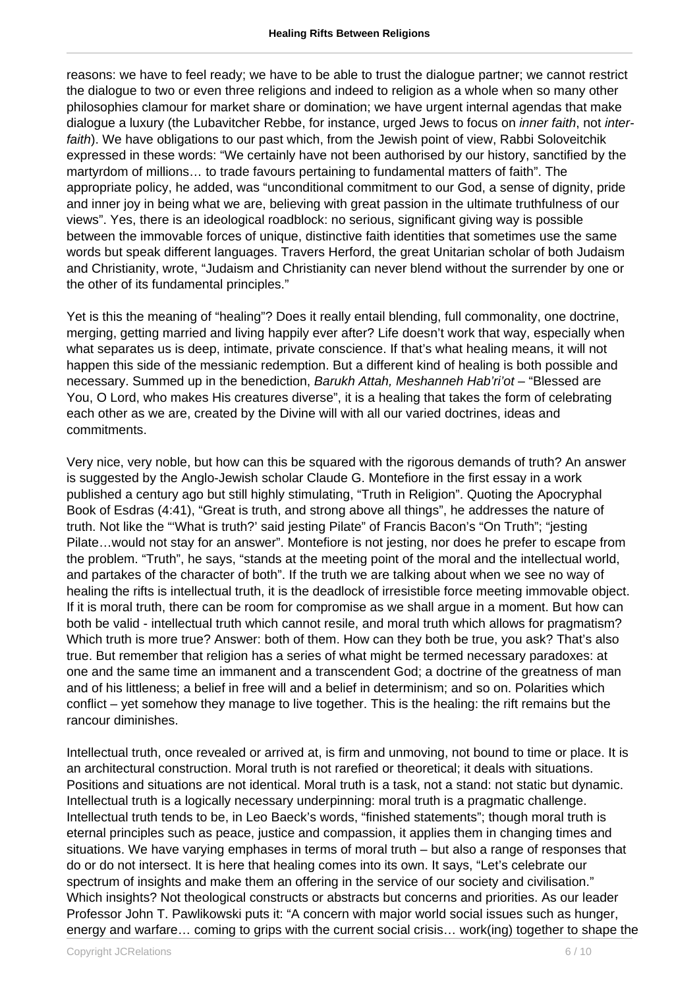reasons: we have to feel ready; we have to be able to trust the dialogue partner; we cannot restrict the dialogue to two or even three religions and indeed to religion as a whole when so many other philosophies clamour for market share or domination; we have urgent internal agendas that make dialogue a luxury (the Lubavitcher Rebbe, for instance, urged Jews to focus on *inner faith*, not *inter*faith). We have obligations to our past which, from the Jewish point of view, Rabbi Soloveitchik expressed in these words: "We certainly have not been authorised by our history, sanctified by the martyrdom of millions… to trade favours pertaining to fundamental matters of faith". The appropriate policy, he added, was "unconditional commitment to our God, a sense of dignity, pride and inner joy in being what we are, believing with great passion in the ultimate truthfulness of our views". Yes, there is an ideological roadblock: no serious, significant giving way is possible between the immovable forces of unique, distinctive faith identities that sometimes use the same words but speak different languages. Travers Herford, the great Unitarian scholar of both Judaism and Christianity, wrote, "Judaism and Christianity can never blend without the surrender by one or the other of its fundamental principles."

Yet is this the meaning of "healing"? Does it really entail blending, full commonality, one doctrine, merging, getting married and living happily ever after? Life doesn't work that way, especially when what separates us is deep, intimate, private conscience. If that's what healing means, it will not happen this side of the messianic redemption. But a different kind of healing is both possible and necessary. Summed up in the benediction, Barukh Attah, Meshanneh Hab'ri'ot – "Blessed are You, O Lord, who makes His creatures diverse", it is a healing that takes the form of celebrating each other as we are, created by the Divine will with all our varied doctrines, ideas and commitments.

Very nice, very noble, but how can this be squared with the rigorous demands of truth? An answer is suggested by the Anglo-Jewish scholar Claude G. Montefiore in the first essay in a work published a century ago but still highly stimulating, "Truth in Religion". Quoting the Apocryphal Book of Esdras (4:41), "Great is truth, and strong above all things", he addresses the nature of truth. Not like the "'What is truth?' said jesting Pilate" of Francis Bacon's "On Truth"; "jesting Pilate…would not stay for an answer". Montefiore is not jesting, nor does he prefer to escape from the problem. "Truth", he says, "stands at the meeting point of the moral and the intellectual world, and partakes of the character of both". If the truth we are talking about when we see no way of healing the rifts is intellectual truth, it is the deadlock of irresistible force meeting immovable object. If it is moral truth, there can be room for compromise as we shall argue in a moment. But how can both be valid - intellectual truth which cannot resile, and moral truth which allows for pragmatism? Which truth is more true? Answer: both of them. How can they both be true, you ask? That's also true. But remember that religion has a series of what might be termed necessary paradoxes: at one and the same time an immanent and a transcendent God; a doctrine of the greatness of man and of his littleness; a belief in free will and a belief in determinism; and so on. Polarities which conflict – yet somehow they manage to live together. This is the healing: the rift remains but the rancour diminishes.

Intellectual truth, once revealed or arrived at, is firm and unmoving, not bound to time or place. It is an architectural construction. Moral truth is not rarefied or theoretical; it deals with situations. Positions and situations are not identical. Moral truth is a task, not a stand: not static but dynamic. Intellectual truth is a logically necessary underpinning: moral truth is a pragmatic challenge. Intellectual truth tends to be, in Leo Baeck's words, "finished statements"; though moral truth is eternal principles such as peace, justice and compassion, it applies them in changing times and situations. We have varying emphases in terms of moral truth – but also a range of responses that do or do not intersect. It is here that healing comes into its own. It says, "Let's celebrate our spectrum of insights and make them an offering in the service of our society and civilisation." Which insights? Not theological constructs or abstracts but concerns and priorities. As our leader Professor John T. Pawlikowski puts it: "A concern with major world social issues such as hunger, energy and warfare… coming to grips with the current social crisis… work(ing) together to shape the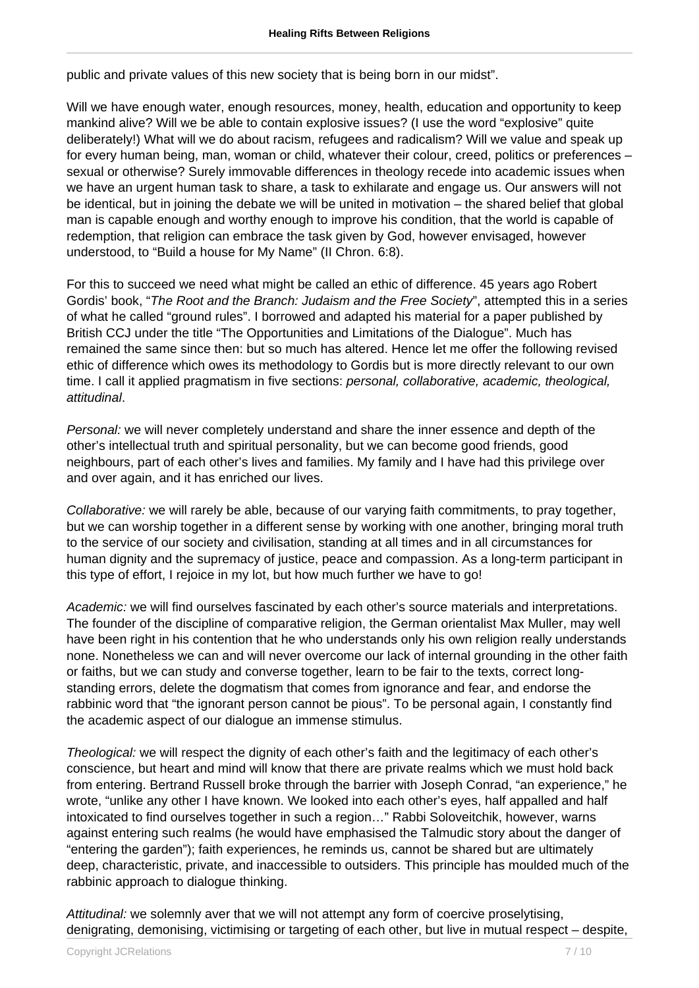public and private values of this new society that is being born in our midst".

Will we have enough water, enough resources, money, health, education and opportunity to keep mankind alive? Will we be able to contain explosive issues? (I use the word "explosive" quite deliberately!) What will we do about racism, refugees and radicalism? Will we value and speak up for every human being, man, woman or child, whatever their colour, creed, politics or preferences – sexual or otherwise? Surely immovable differences in theology recede into academic issues when we have an urgent human task to share, a task to exhilarate and engage us. Our answers will not be identical, but in joining the debate we will be united in motivation – the shared belief that global man is capable enough and worthy enough to improve his condition, that the world is capable of redemption, that religion can embrace the task given by God, however envisaged, however understood, to "Build a house for My Name" (II Chron. 6:8).

For this to succeed we need what might be called an ethic of difference. 45 years ago Robert Gordis' book, "The Root and the Branch: Judaism and the Free Society", attempted this in a series of what he called "ground rules". I borrowed and adapted his material for a paper published by British CCJ under the title "The Opportunities and Limitations of the Dialogue". Much has remained the same since then: but so much has altered. Hence let me offer the following revised ethic of difference which owes its methodology to Gordis but is more directly relevant to our own time. I call it applied pragmatism in five sections: *personal, collaborative, academic, theological,* attitudinal.

Personal: we will never completely understand and share the inner essence and depth of the other's intellectual truth and spiritual personality, but we can become good friends, good neighbours, part of each other's lives and families. My family and I have had this privilege over and over again, and it has enriched our lives.

Collaborative: we will rarely be able, because of our varying faith commitments, to pray together, but we can worship together in a different sense by working with one another, bringing moral truth to the service of our society and civilisation, standing at all times and in all circumstances for human dignity and the supremacy of justice, peace and compassion. As a long-term participant in this type of effort, I rejoice in my lot, but how much further we have to go!

Academic: we will find ourselves fascinated by each other's source materials and interpretations. The founder of the discipline of comparative religion, the German orientalist Max Muller, may well have been right in his contention that he who understands only his own religion really understands none. Nonetheless we can and will never overcome our lack of internal grounding in the other faith or faiths, but we can study and converse together, learn to be fair to the texts, correct longstanding errors, delete the dogmatism that comes from ignorance and fear, and endorse the rabbinic word that "the ignorant person cannot be pious". To be personal again, I constantly find the academic aspect of our dialogue an immense stimulus.

Theological: we will respect the dignity of each other's faith and the legitimacy of each other's conscience, but heart and mind will know that there are private realms which we must hold back from entering. Bertrand Russell broke through the barrier with Joseph Conrad, "an experience," he wrote, "unlike any other I have known. We looked into each other's eyes, half appalled and half intoxicated to find ourselves together in such a region…" Rabbi Soloveitchik, however, warns against entering such realms (he would have emphasised the Talmudic story about the danger of "entering the garden"); faith experiences, he reminds us, cannot be shared but are ultimately deep, characteristic, private, and inaccessible to outsiders. This principle has moulded much of the rabbinic approach to dialogue thinking.

Attitudinal: we solemnly aver that we will not attempt any form of coercive proselytising, denigrating, demonising, victimising or targeting of each other, but live in mutual respect – despite,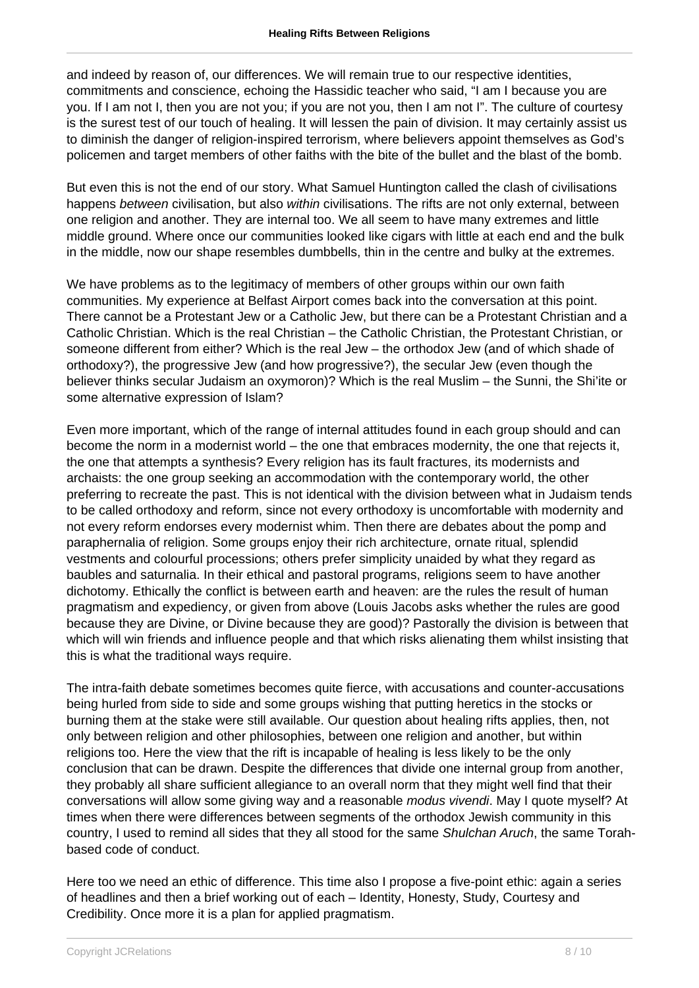and indeed by reason of, our differences. We will remain true to our respective identities, commitments and conscience, echoing the Hassidic teacher who said, "I am I because you are you. If I am not I, then you are not you; if you are not you, then I am not I". The culture of courtesy is the surest test of our touch of healing. It will lessen the pain of division. It may certainly assist us to diminish the danger of religion-inspired terrorism, where believers appoint themselves as God's policemen and target members of other faiths with the bite of the bullet and the blast of the bomb.

But even this is not the end of our story. What Samuel Huntington called the clash of civilisations happens between civilisation, but also within civilisations. The rifts are not only external, between one religion and another. They are internal too. We all seem to have many extremes and little middle ground. Where once our communities looked like cigars with little at each end and the bulk in the middle, now our shape resembles dumbbells, thin in the centre and bulky at the extremes.

We have problems as to the legitimacy of members of other groups within our own faith communities. My experience at Belfast Airport comes back into the conversation at this point. There cannot be a Protestant Jew or a Catholic Jew, but there can be a Protestant Christian and a Catholic Christian. Which is the real Christian – the Catholic Christian, the Protestant Christian, or someone different from either? Which is the real Jew – the orthodox Jew (and of which shade of orthodoxy?), the progressive Jew (and how progressive?), the secular Jew (even though the believer thinks secular Judaism an oxymoron)? Which is the real Muslim – the Sunni, the Shi'ite or some alternative expression of Islam?

Even more important, which of the range of internal attitudes found in each group should and can become the norm in a modernist world – the one that embraces modernity, the one that rejects it, the one that attempts a synthesis? Every religion has its fault fractures, its modernists and archaists: the one group seeking an accommodation with the contemporary world, the other preferring to recreate the past. This is not identical with the division between what in Judaism tends to be called orthodoxy and reform, since not every orthodoxy is uncomfortable with modernity and not every reform endorses every modernist whim. Then there are debates about the pomp and paraphernalia of religion. Some groups enjoy their rich architecture, ornate ritual, splendid vestments and colourful processions; others prefer simplicity unaided by what they regard as baubles and saturnalia. In their ethical and pastoral programs, religions seem to have another dichotomy. Ethically the conflict is between earth and heaven: are the rules the result of human pragmatism and expediency, or given from above (Louis Jacobs asks whether the rules are good because they are Divine, or Divine because they are good)? Pastorally the division is between that which will win friends and influence people and that which risks alienating them whilst insisting that this is what the traditional ways require.

The intra-faith debate sometimes becomes quite fierce, with accusations and counter-accusations being hurled from side to side and some groups wishing that putting heretics in the stocks or burning them at the stake were still available. Our question about healing rifts applies, then, not only between religion and other philosophies, between one religion and another, but within religions too. Here the view that the rift is incapable of healing is less likely to be the only conclusion that can be drawn. Despite the differences that divide one internal group from another, they probably all share sufficient allegiance to an overall norm that they might well find that their conversations will allow some giving way and a reasonable modus vivendi. May I quote myself? At times when there were differences between segments of the orthodox Jewish community in this country, I used to remind all sides that they all stood for the same Shulchan Aruch, the same Torahbased code of conduct.

Here too we need an ethic of difference. This time also I propose a five-point ethic: again a series of headlines and then a brief working out of each – Identity, Honesty, Study, Courtesy and Credibility. Once more it is a plan for applied pragmatism.